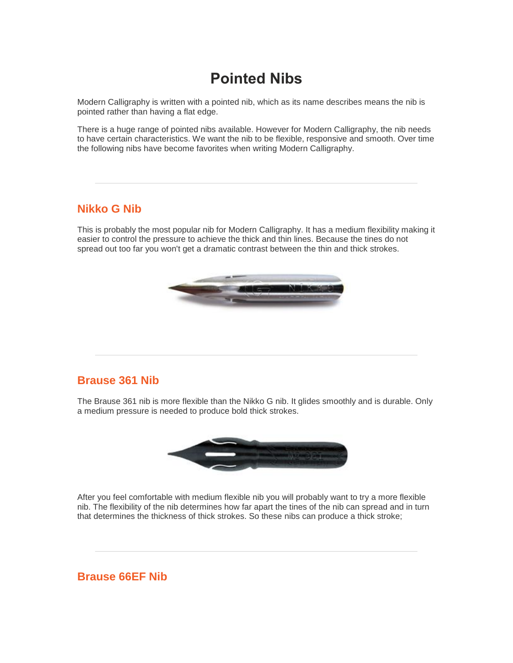# **Pointed Nibs**

Modern Calligraphy is written with a pointed nib, which as its name describes means the nib is pointed rather than having a flat edge.

There is a huge range of pointed nibs available. However for Modern Calligraphy, the nib needs to have certain characteristics. We want the nib to be flexible, responsive and smooth. Over time the following nibs have become favorites when writing Modern Calligraphy.

### **Nikko G Nib**

This is probably the most popular nib for Modern Calligraphy. It has a medium flexibility making it easier to control the pressure to achieve the thick and thin lines. Because the tines do not spread out too far you won't get a dramatic contrast between the thin and thick strokes.



#### **Brause 361 Nib**

The Brause 361 nib is more flexible than the Nikko G nib. It glides smoothly and is durable. Only a medium pressure is needed to produce bold thick strokes.



After you feel comfortable with medium flexible nib you will probably want to try a more flexible nib. The flexibility of the nib determines how far apart the tines of the nib can spread and in turn that determines the thickness of thick strokes. So these nibs can produce a thick stroke;

### **Brause 66EF Nib**